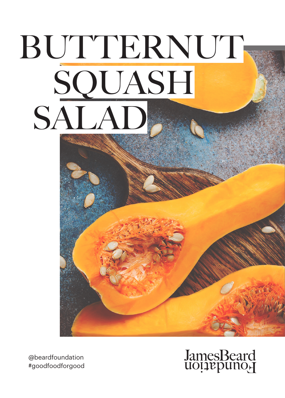# BUTTERNUT **SQUASH** SALAD

@beardfoundation #goodfoodforgood

## JamesBeard<br>uoțiepuno<sub>r</sub>